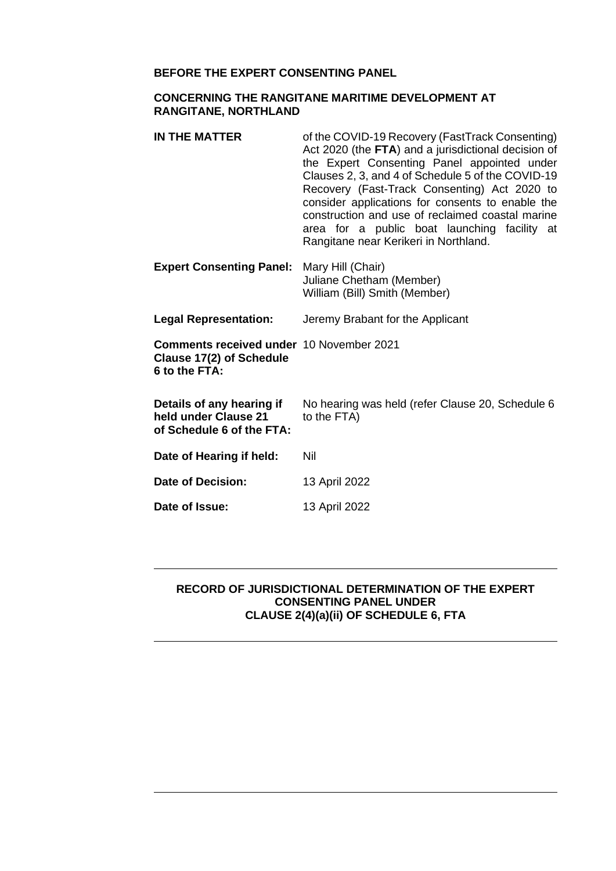#### **BEFORE THE EXPERT CONSENTING PANEL**

#### **CONCERNING THE RANGITANE MARITIME DEVELOPMENT AT RANGITANE, NORTHLAND**

| IN THE MATTER                                                                                | of the COVID-19 Recovery (FastTrack Consenting)<br>Act 2020 (the FTA) and a jurisdictional decision of<br>the Expert Consenting Panel appointed under<br>Clauses 2, 3, and 4 of Schedule 5 of the COVID-19<br>Recovery (Fast-Track Consenting) Act 2020 to<br>consider applications for consents to enable the<br>construction and use of reclaimed coastal marine<br>area for a public boat launching facility at<br>Rangitane near Kerikeri in Northland. |
|----------------------------------------------------------------------------------------------|-------------------------------------------------------------------------------------------------------------------------------------------------------------------------------------------------------------------------------------------------------------------------------------------------------------------------------------------------------------------------------------------------------------------------------------------------------------|
| <b>Expert Consenting Panel:</b>                                                              | Mary Hill (Chair)<br>Juliane Chetham (Member)<br>William (Bill) Smith (Member)                                                                                                                                                                                                                                                                                                                                                                              |
| <b>Legal Representation:</b>                                                                 | Jeremy Brabant for the Applicant                                                                                                                                                                                                                                                                                                                                                                                                                            |
| <b>Comments received under 10 November 2021</b><br>Clause 17(2) of Schedule<br>6 to the FTA: |                                                                                                                                                                                                                                                                                                                                                                                                                                                             |
| Details of any hearing if<br>held under Clause 21<br>of Schedule 6 of the FTA:               | No hearing was held (refer Clause 20, Schedule 6<br>to the FTA)                                                                                                                                                                                                                                                                                                                                                                                             |
| Date of Hearing if held:                                                                     | Nil                                                                                                                                                                                                                                                                                                                                                                                                                                                         |
| Date of Decision:                                                                            | 13 April 2022                                                                                                                                                                                                                                                                                                                                                                                                                                               |
| Date of Issue:                                                                               | 13 April 2022                                                                                                                                                                                                                                                                                                                                                                                                                                               |

#### **RECORD OF JURISDICTIONAL DETERMINATION OF THE EXPERT CONSENTING PANEL UNDER CLAUSE 2(4)(a)(ii) OF SCHEDULE 6, FTA**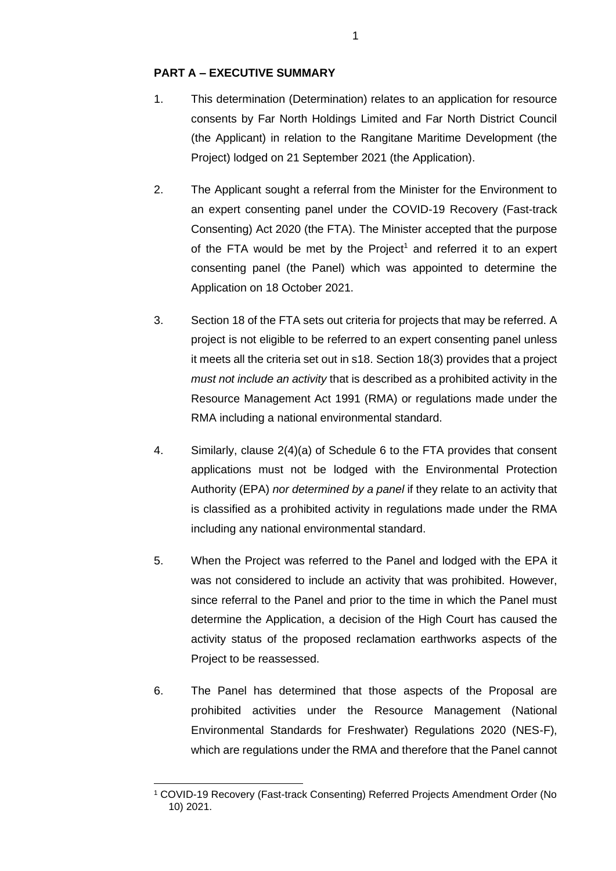#### **PART A – EXECUTIVE SUMMARY**

- 1. This determination (Determination) relates to an application for resource consents by Far North Holdings Limited and Far North District Council (the Applicant) in relation to the Rangitane Maritime Development (the Project) lodged on 21 September 2021 (the Application).
- 2. The Applicant sought a referral from the Minister for the Environment to an expert consenting panel under the COVID-19 Recovery (Fast-track Consenting) Act 2020 (the FTA). The Minister accepted that the purpose of the FTA would be met by the Project<sup>1</sup> and referred it to an expert consenting panel (the Panel) which was appointed to determine the Application on 18 October 2021.
- 3. Section 18 of the FTA sets out criteria for projects that may be referred. A project is not eligible to be referred to an expert consenting panel unless it meets all the criteria set out in s18. Section 18(3) provides that a project *must not include an activity* that is described as a prohibited activity in the Resource Management Act 1991 (RMA) or regulations made under the RMA including a national environmental standard.
- 4. Similarly, clause 2(4)(a) of Schedule 6 to the FTA provides that consent applications must not be lodged with the Environmental Protection Authority (EPA) *nor determined by a panel* if they relate to an activity that is classified as a prohibited activity in regulations made under the RMA including any national environmental standard.
- 5. When the Project was referred to the Panel and lodged with the EPA it was not considered to include an activity that was prohibited. However, since referral to the Panel and prior to the time in which the Panel must determine the Application, a decision of the High Court has caused the activity status of the proposed reclamation earthworks aspects of the Project to be reassessed.
- 6. The Panel has determined that those aspects of the Proposal are prohibited activities under the Resource Management (National Environmental Standards for Freshwater) Regulations 2020 (NES-F), which are regulations under the RMA and therefore that the Panel cannot

<sup>1</sup> COVID-19 Recovery (Fast-track Consenting) Referred Projects Amendment Order (No 10) 2021.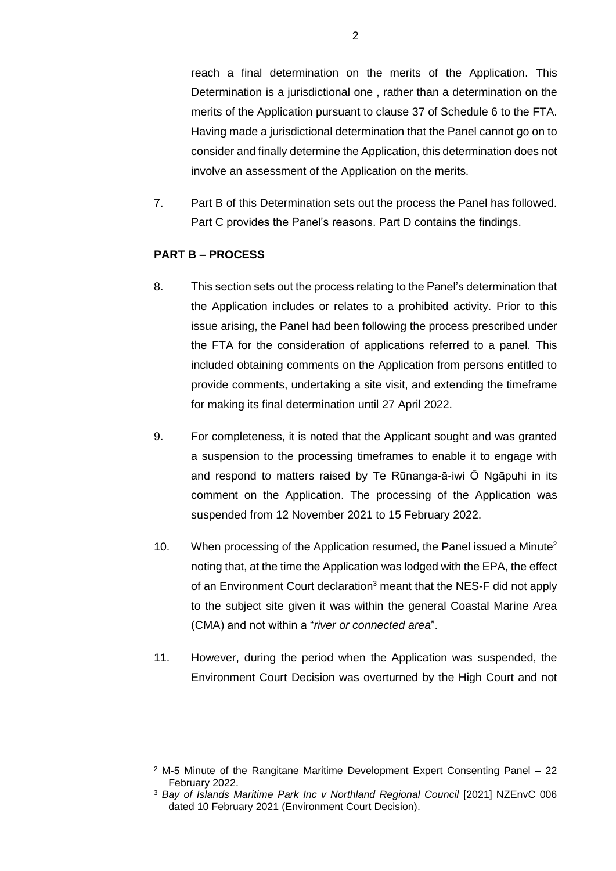reach a final determination on the merits of the Application. This Determination is a jurisdictional one , rather than a determination on the merits of the Application pursuant to clause 37 of Schedule 6 to the FTA. Having made a jurisdictional determination that the Panel cannot go on to consider and finally determine the Application, this determination does not involve an assessment of the Application on the merits.

7. Part B of this Determination sets out the process the Panel has followed. Part C provides the Panel's reasons. Part D contains the findings.

### **PART B – PROCESS**

- 8. This section sets out the process relating to the Panel's determination that the Application includes or relates to a prohibited activity. Prior to this issue arising, the Panel had been following the process prescribed under the FTA for the consideration of applications referred to a panel. This included obtaining comments on the Application from persons entitled to provide comments, undertaking a site visit, and extending the timeframe for making its final determination until 27 April 2022.
- 9. For completeness, it is noted that the Applicant sought and was granted a suspension to the processing timeframes to enable it to engage with and respond to matters raised by Te Rūnanga-ā-iwi Ō Ngāpuhi in its comment on the Application. The processing of the Application was suspended from 12 November 2021 to 15 February 2022.
- 10. When processing of the Application resumed, the Panel issued a Minute<sup>2</sup> noting that, at the time the Application was lodged with the EPA, the effect of an Environment Court declaration<sup>3</sup> meant that the NES-F did not apply to the subject site given it was within the general Coastal Marine Area (CMA) and not within a "*river or connected area*".
- 11. However, during the period when the Application was suspended, the Environment Court Decision was overturned by the High Court and not

 $2$  M-5 Minute of the Rangitane Maritime Development Expert Consenting Panel  $-22$ February 2022.

<sup>3</sup> *Bay of Islands Maritime Park Inc v Northland Regional Council* [2021] NZEnvC 006 dated 10 February 2021 (Environment Court Decision).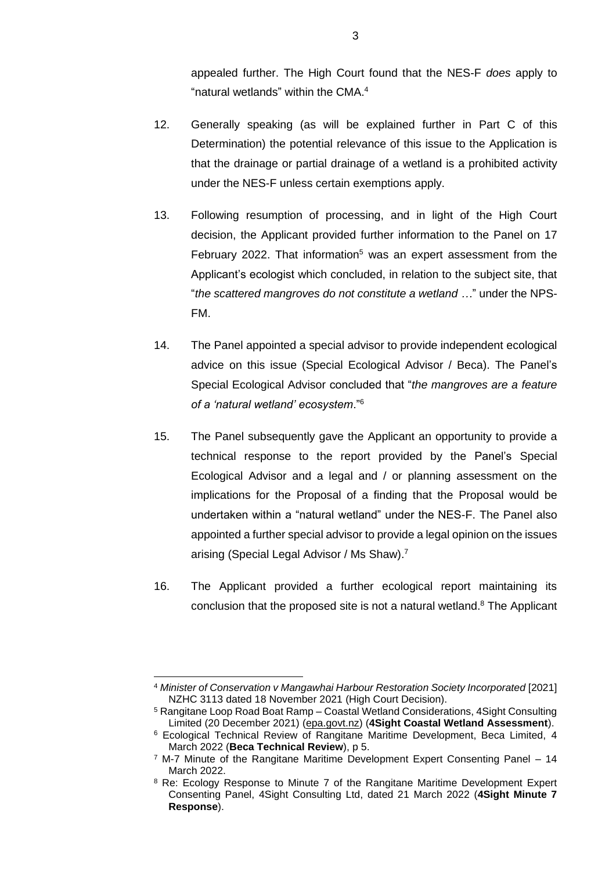appealed further. The High Court found that the NES-F *does* apply to "natural wetlands" within the CMA. 4

- 12. Generally speaking (as will be explained further in Part C of this Determination) the potential relevance of this issue to the Application is that the drainage or partial drainage of a wetland is a prohibited activity under the NES-F unless certain exemptions apply.
- 13. Following resumption of processing, and in light of the High Court decision, the Applicant provided further information to the Panel on 17 February 2022. That information<sup>5</sup> was an expert assessment from the Applicant's ecologist which concluded, in relation to the subject site, that "*the scattered mangroves do not constitute a wetland …*" under the NPS-FM.
- 14. The Panel appointed a special advisor to provide independent ecological advice on this issue (Special Ecological Advisor / Beca). The Panel's Special Ecological Advisor concluded that "*the mangroves are a feature of a 'natural wetland' ecosystem*."<sup>6</sup>
- 15. The Panel subsequently gave the Applicant an opportunity to provide a technical response to the report provided by the Panel's Special Ecological Advisor and a legal and / or planning assessment on the implications for the Proposal of a finding that the Proposal would be undertaken within a "natural wetland" under the NES-F. The Panel also appointed a further special advisor to provide a legal opinion on the issues arising (Special Legal Advisor / Ms Shaw).<sup>7</sup>
- 16. The Applicant provided a further ecological report maintaining its conclusion that the proposed site is not a natural wetland. $8$  The Applicant

<sup>4</sup> *Minister of Conservation v Mangawhai Harbour Restoration Society Incorporated* [2021] NZHC 3113 dated 18 November 2021 (High Court Decision).

<sup>5</sup> Rangitane Loop Road Boat Ramp – Coastal Wetland Considerations, 4Sight Consulting Limited (20 December 2021) [\(epa.govt.nz\)](https://www.epa.govt.nz/assets/Uploads/Documents/Fast-track-consenting/Rangitane/comments-received/10-Ecology-Wetland-Response.pdf) (**4Sight Coastal Wetland Assessment**).

<sup>6</sup> Ecological Technical Review of Rangitane Maritime Development, Beca Limited, 4 March 2022 (**Beca Technical Review**), p 5.

 $7$  M-7 Minute of the Rangitane Maritime Development Expert Consenting Panel  $-14$ March 2022.

<sup>&</sup>lt;sup>8</sup> Re: Ecology Response to Minute 7 of the Rangitane Maritime Development Expert Consenting Panel, 4Sight Consulting Ltd, dated 21 March 2022 (**4Sight Minute 7 Response**).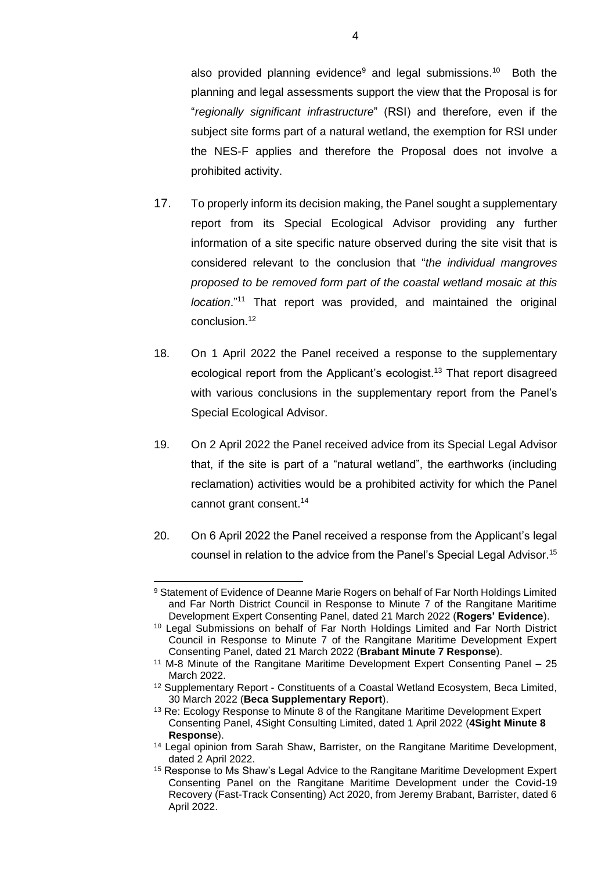also provided planning evidence $9$  and legal submissions.<sup>10</sup> Both the planning and legal assessments support the view that the Proposal is for "*regionally significant infrastructure*" (RSI) and therefore, even if the subject site forms part of a natural wetland, the exemption for RSI under the NES-F applies and therefore the Proposal does not involve a prohibited activity.

- 17. To properly inform its decision making, the Panel sought a supplementary report from its Special Ecological Advisor providing any further information of a site specific nature observed during the site visit that is considered relevant to the conclusion that "*the individual mangroves proposed to be removed form part of the coastal wetland mosaic at this location*."<sup>11</sup> That report was provided, and maintained the original conclusion.<sup>12</sup>
- 18. On 1 April 2022 the Panel received a response to the supplementary ecological report from the Applicant's ecologist.<sup>13</sup> That report disagreed with various conclusions in the supplementary report from the Panel's Special Ecological Advisor.
- 19. On 2 April 2022 the Panel received advice from its Special Legal Advisor that, if the site is part of a "natural wetland", the earthworks (including reclamation) activities would be a prohibited activity for which the Panel cannot grant consent.<sup>14</sup>
- 20. On 6 April 2022 the Panel received a response from the Applicant's legal counsel in relation to the advice from the Panel's Special Legal Advisor.<sup>15</sup>

<sup>9</sup> Statement of Evidence of Deanne Marie Rogers on behalf of Far North Holdings Limited and Far North District Council in Response to Minute 7 of the Rangitane Maritime Development Expert Consenting Panel, dated 21 March 2022 (**Rogers' Evidence**).

<sup>10</sup> Legal Submissions on behalf of Far North Holdings Limited and Far North District Council in Response to Minute 7 of the Rangitane Maritime Development Expert Consenting Panel, dated 21 March 2022 (**Brabant Minute 7 Response**).

<sup>11</sup> M-8 Minute of the Rangitane Maritime Development Expert Consenting Panel – 25 March 2022.

<sup>&</sup>lt;sup>12</sup> Supplementary Report - Constituents of a Coastal Wetland Ecosystem, Beca Limited, 30 March 2022 (**Beca Supplementary Report**).

<sup>&</sup>lt;sup>13</sup> Re: Ecology Response to Minute 8 of the Rangitane Maritime Development Expert Consenting Panel, 4Sight Consulting Limited, dated 1 April 2022 (**4Sight Minute 8 Response**).

<sup>14</sup> Legal opinion from Sarah Shaw, Barrister, on the Rangitane Maritime Development, dated 2 April 2022.

<sup>&</sup>lt;sup>15</sup> Response to Ms Shaw's Legal Advice to the Rangitane Maritime Development Expert Consenting Panel on the Rangitane Maritime Development under the Covid-19 Recovery (Fast-Track Consenting) Act 2020, from Jeremy Brabant, Barrister, dated 6 April 2022.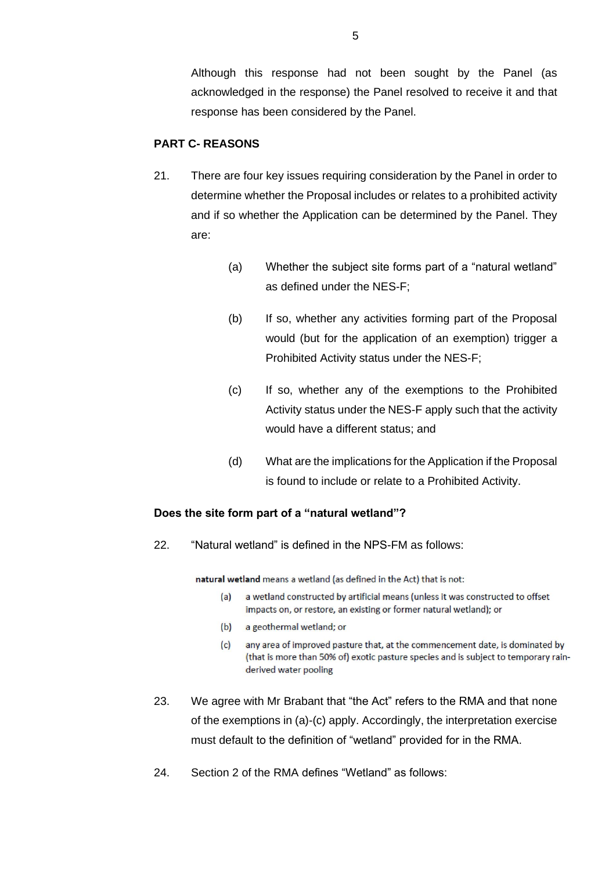Although this response had not been sought by the Panel (as acknowledged in the response) the Panel resolved to receive it and that response has been considered by the Panel.

## **PART C- REASONS**

- 21. There are four key issues requiring consideration by the Panel in order to determine whether the Proposal includes or relates to a prohibited activity and if so whether the Application can be determined by the Panel. They are:
	- (a) Whether the subject site forms part of a "natural wetland" as defined under the NES-F;
	- (b) If so, whether any activities forming part of the Proposal would (but for the application of an exemption) trigger a Prohibited Activity status under the NES-F;
	- (c) If so, whether any of the exemptions to the Prohibited Activity status under the NES-F apply such that the activity would have a different status; and
	- (d) What are the implications for the Application if the Proposal is found to include or relate to a Prohibited Activity.

#### **Does the site form part of a "natural wetland"?**

22. "Natural wetland" is defined in the NPS-FM as follows:

natural wetland means a wetland (as defined in the Act) that is not:

- a wetland constructed by artificial means (unless it was constructed to offset  $(a)$ impacts on, or restore, an existing or former natural wetland); or
- $(b)$ a geothermal wetland; or
- any area of improved pasture that, at the commencement date, is dominated by  $(c)$ (that is more than 50% of) exotic pasture species and is subject to temporary rainderived water pooling
- 23. We agree with Mr Brabant that "the Act" refers to the RMA and that none of the exemptions in (a)-(c) apply. Accordingly, the interpretation exercise must default to the definition of "wetland" provided for in the RMA.
- 24. Section 2 of the RMA defines "Wetland" as follows: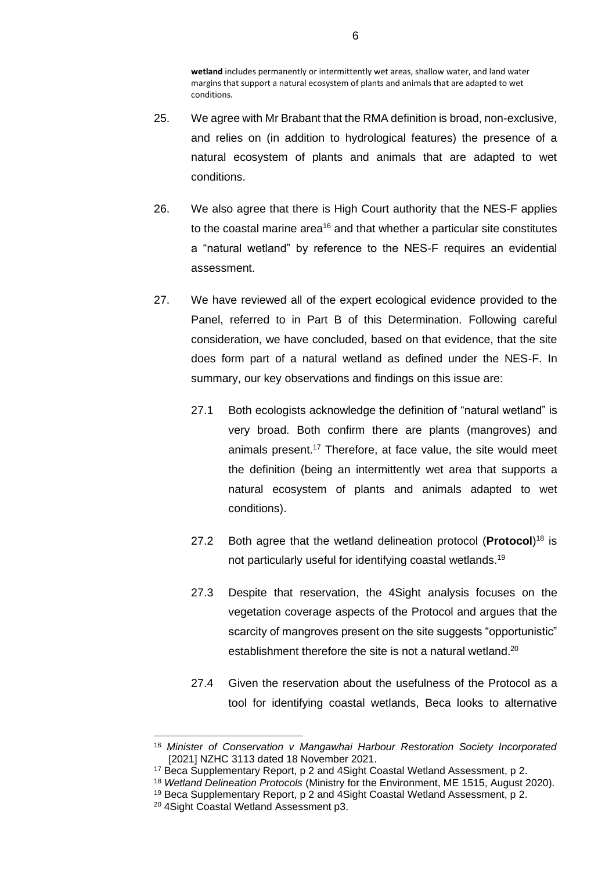**wetland** includes permanently or intermittently wet areas, shallow water, and land water margins that support a natural ecosystem of plants and animals that are adapted to wet conditions.

- 25. We agree with Mr Brabant that the RMA definition is broad, non-exclusive, and relies on (in addition to hydrological features) the presence of a natural ecosystem of plants and animals that are adapted to wet conditions.
- 26. We also agree that there is High Court authority that the NES-F applies to the coastal marine area<sup>16</sup> and that whether a particular site constitutes a "natural wetland" by reference to the NES-F requires an evidential assessment.
- 27. We have reviewed all of the expert ecological evidence provided to the Panel, referred to in Part B of this Determination. Following careful consideration, we have concluded, based on that evidence, that the site does form part of a natural wetland as defined under the NES-F. In summary, our key observations and findings on this issue are:
	- 27.1 Both ecologists acknowledge the definition of "natural wetland" is very broad. Both confirm there are plants (mangroves) and animals present. <sup>17</sup> Therefore, at face value, the site would meet the definition (being an intermittently wet area that supports a natural ecosystem of plants and animals adapted to wet conditions).
	- 27.2 Both agree that the wetland delineation protocol (**Protocol**) <sup>18</sup> is not particularly useful for identifying coastal wetlands.<sup>19</sup>
	- 27.3 Despite that reservation, the 4Sight analysis focuses on the vegetation coverage aspects of the Protocol and argues that the scarcity of mangroves present on the site suggests "opportunistic" establishment therefore the site is not a natural wetland.<sup>20</sup>
	- 27.4 Given the reservation about the usefulness of the Protocol as a tool for identifying coastal wetlands, Beca looks to alternative

<sup>16</sup> *Minister of Conservation v Mangawhai Harbour Restoration Society Incorporated* [2021] NZHC 3113 dated 18 November 2021.

<sup>17</sup> Beca Supplementary Report, p 2 and 4Sight Coastal Wetland Assessment, p 2.

<sup>18</sup> *Wetland Delineation Protocols* (Ministry for the Environment, ME 1515, August 2020).

<sup>19</sup> Beca Supplementary Report, p 2 and 4Sight Coastal Wetland Assessment, p 2.

<sup>20</sup> 4Sight Coastal Wetland Assessment p3.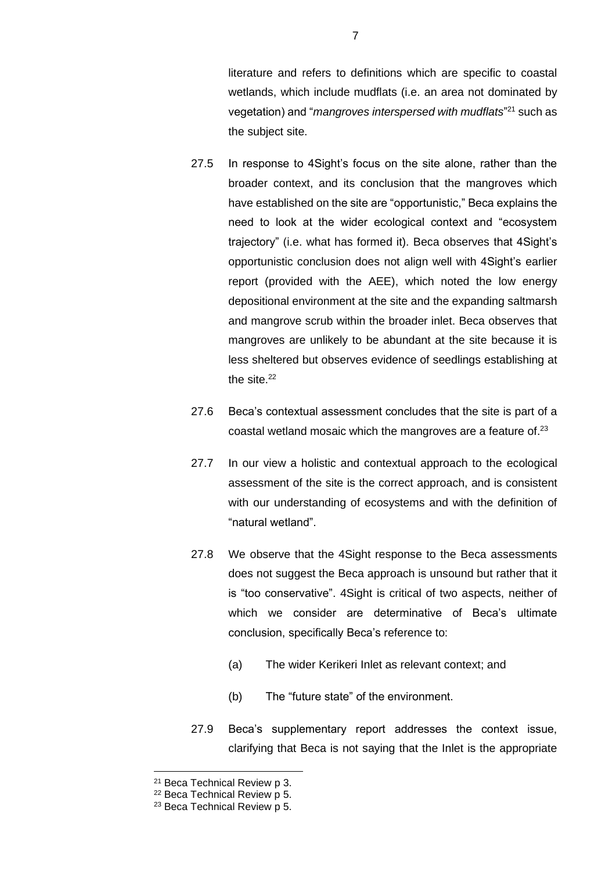literature and refers to definitions which are specific to coastal wetlands, which include mudflats (i.e. an area not dominated by vegetation) and "*mangroves interspersed with mudflats*" <sup>21</sup> such as the subject site.

- 27.5 In response to 4Sight's focus on the site alone, rather than the broader context, and its conclusion that the mangroves which have established on the site are "opportunistic," Beca explains the need to look at the wider ecological context and "ecosystem trajectory" (i.e. what has formed it). Beca observes that 4Sight's opportunistic conclusion does not align well with 4Sight's earlier report (provided with the AEE), which noted the low energy depositional environment at the site and the expanding saltmarsh and mangrove scrub within the broader inlet. Beca observes that mangroves are unlikely to be abundant at the site because it is less sheltered but observes evidence of seedlings establishing at the site.<sup>22</sup>
- 27.6 Beca's contextual assessment concludes that the site is part of a coastal wetland mosaic which the mangroves are a feature of. 23
- 27.7 In our view a holistic and contextual approach to the ecological assessment of the site is the correct approach, and is consistent with our understanding of ecosystems and with the definition of "natural wetland".
- 27.8 We observe that the 4Sight response to the Beca assessments does not suggest the Beca approach is unsound but rather that it is "too conservative". 4Sight is critical of two aspects, neither of which we consider are determinative of Beca's ultimate conclusion, specifically Beca's reference to:
	- (a) The wider Kerikeri Inlet as relevant context; and
	- (b) The "future state" of the environment.
- 27.9 Beca's supplementary report addresses the context issue, clarifying that Beca is not saying that the Inlet is the appropriate

7

<sup>21</sup> Beca Technical Review p 3.

<sup>22</sup> Beca Technical Review p 5.

<sup>23</sup> Beca Technical Review p 5.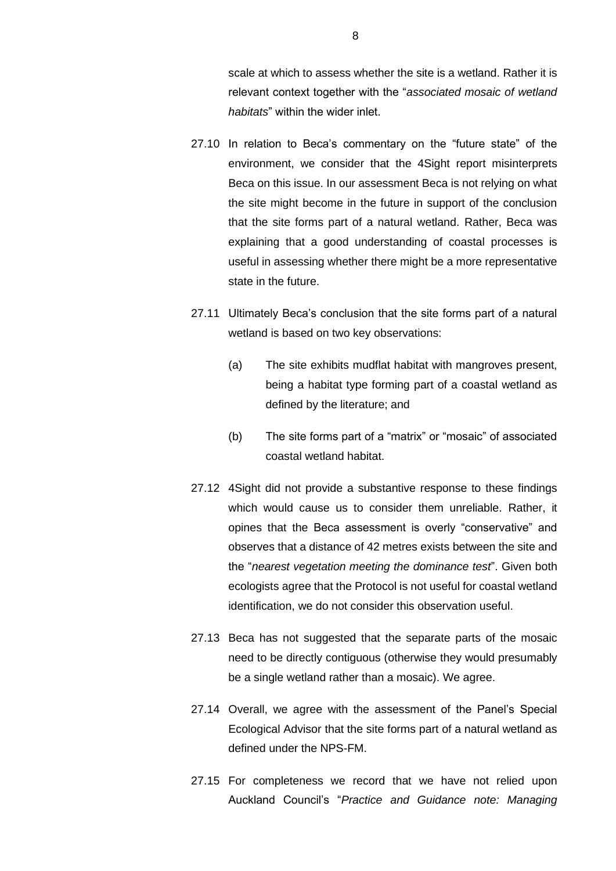scale at which to assess whether the site is a wetland. Rather it is relevant context together with the "*associated mosaic of wetland habitats*" within the wider inlet.

- 27.10 In relation to Beca's commentary on the "future state" of the environment, we consider that the 4Sight report misinterprets Beca on this issue. In our assessment Beca is not relying on what the site might become in the future in support of the conclusion that the site forms part of a natural wetland. Rather, Beca was explaining that a good understanding of coastal processes is useful in assessing whether there might be a more representative state in the future.
- 27.11 Ultimately Beca's conclusion that the site forms part of a natural wetland is based on two key observations:
	- (a) The site exhibits mudflat habitat with mangroves present, being a habitat type forming part of a coastal wetland as defined by the literature; and
	- (b) The site forms part of a "matrix" or "mosaic" of associated coastal wetland habitat.
- 27.12 4Sight did not provide a substantive response to these findings which would cause us to consider them unreliable. Rather, it opines that the Beca assessment is overly "conservative" and observes that a distance of 42 metres exists between the site and the "*nearest vegetation meeting the dominance test*". Given both ecologists agree that the Protocol is not useful for coastal wetland identification, we do not consider this observation useful.
- 27.13 Beca has not suggested that the separate parts of the mosaic need to be directly contiguous (otherwise they would presumably be a single wetland rather than a mosaic). We agree.
- 27.14 Overall, we agree with the assessment of the Panel's Special Ecological Advisor that the site forms part of a natural wetland as defined under the NPS-FM.
- 27.15 For completeness we record that we have not relied upon Auckland Council's "*Practice and Guidance note: Managing*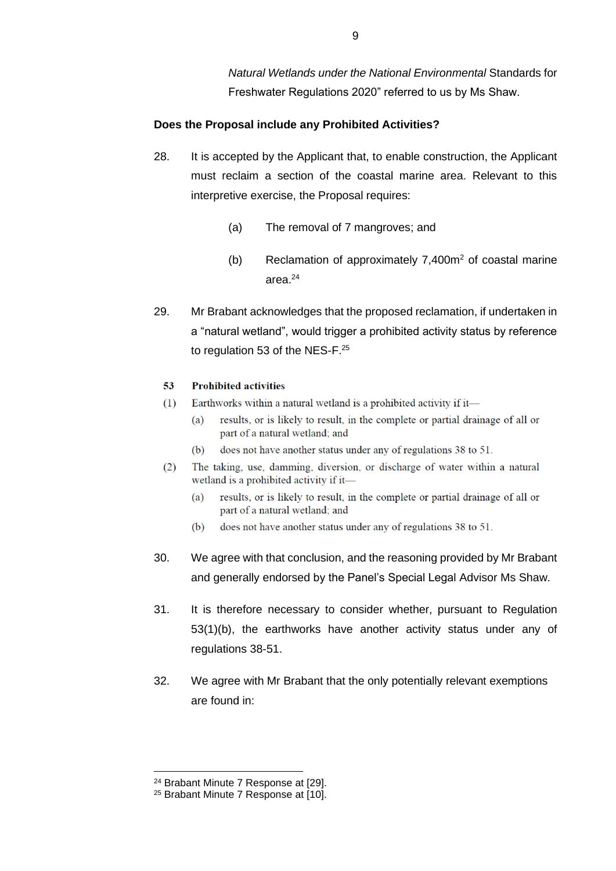*Natural Wetlands under the National Environmental* Standards for Freshwater Regulations 2020" referred to us by Ms Shaw.

### **Does the Proposal include any Prohibited Activities?**

- 28. It is accepted by the Applicant that, to enable construction, the Applicant must reclaim a section of the coastal marine area. Relevant to this interpretive exercise, the Proposal requires:
	- (a) The removal of 7 mangroves; and
	- (b) Reclamation of approximately  $7,400m^2$  of coastal marine area.<sup>24</sup>
- 29. Mr Brabant acknowledges that the proposed reclamation, if undertaken in a "natural wetland", would trigger a prohibited activity status by reference to regulation 53 of the NES-F.<sup>25</sup>

#### 53 **Prohibited activities**

- Earthworks within a natural wetland is a prohibited activity if it- $(1)$ 
	- results, or is likely to result, in the complete or partial drainage of all or  $(a)$ part of a natural wetland; and
	- $(b)$ does not have another status under any of regulations 38 to 51.
- The taking, use, damming, diversion, or discharge of water within a natural  $(2)$ wetland is a prohibited activity if it-
	- $(a)$ results, or is likely to result, in the complete or partial drainage of all or part of a natural wetland; and
	- does not have another status under any of regulations 38 to 51.  $(b)$
- 30. We agree with that conclusion, and the reasoning provided by Mr Brabant and generally endorsed by the Panel's Special Legal Advisor Ms Shaw.
- 31. It is therefore necessary to consider whether, pursuant to Regulation 53(1)(b), the earthworks have another activity status under any of regulations 38-51.
- 32. We agree with Mr Brabant that the only potentially relevant exemptions are found in:

<sup>24</sup> Brabant Minute 7 Response at [29].

<sup>25</sup> Brabant Minute 7 Response at [10].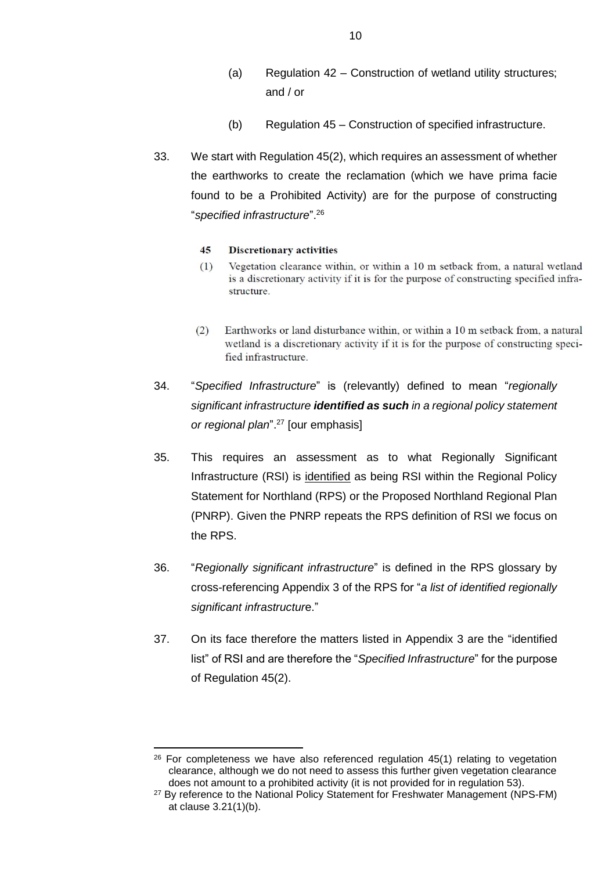- (a) Regulation 42 Construction of wetland utility structures; and / or
- (b) Regulation 45 Construction of specified infrastructure.
- 33. We start with Regulation 45(2), which requires an assessment of whether the earthworks to create the reclamation (which we have prima facie found to be a Prohibited Activity) are for the purpose of constructing "*specified infrastructure*".<sup>26</sup>

#### 45 **Discretionary activities**

- Vegetation clearance within, or within a 10 m setback from, a natural wetland  $(1)$ is a discretionary activity if it is for the purpose of constructing specified infrastructure.
- Earthworks or land disturbance within, or within a 10 m setback from, a natural  $(2)$ wetland is a discretionary activity if it is for the purpose of constructing specified infrastructure.
- 34. "*Specified Infrastructure*" is (relevantly) defined to mean "*regionally significant infrastructure identified as such in a regional policy statement or regional plan*". <sup>27</sup> [our emphasis]
- 35. This requires an assessment as to what Regionally Significant Infrastructure (RSI) is identified as being RSI within the Regional Policy Statement for Northland (RPS) or the Proposed Northland Regional Plan (PNRP). Given the PNRP repeats the RPS definition of RSI we focus on the RPS.
- 36. "*Regionally significant infrastructure*" is defined in the RPS glossary by cross-referencing Appendix 3 of the RPS for "*a list of identified regionally significant infrastructur*e."
- 37. On its face therefore the matters listed in Appendix 3 are the "identified list" of RSI and are therefore the "*Specified Infrastructure*" for the purpose of Regulation 45(2).

 $26$  For completeness we have also referenced regulation  $45(1)$  relating to vegetation clearance, although we do not need to assess this further given vegetation clearance does not amount to a prohibited activity (it is not provided for in regulation 53).

<sup>&</sup>lt;sup>27</sup> By reference to the National Policy Statement for Freshwater Management (NPS-FM) at clause 3.21(1)(b).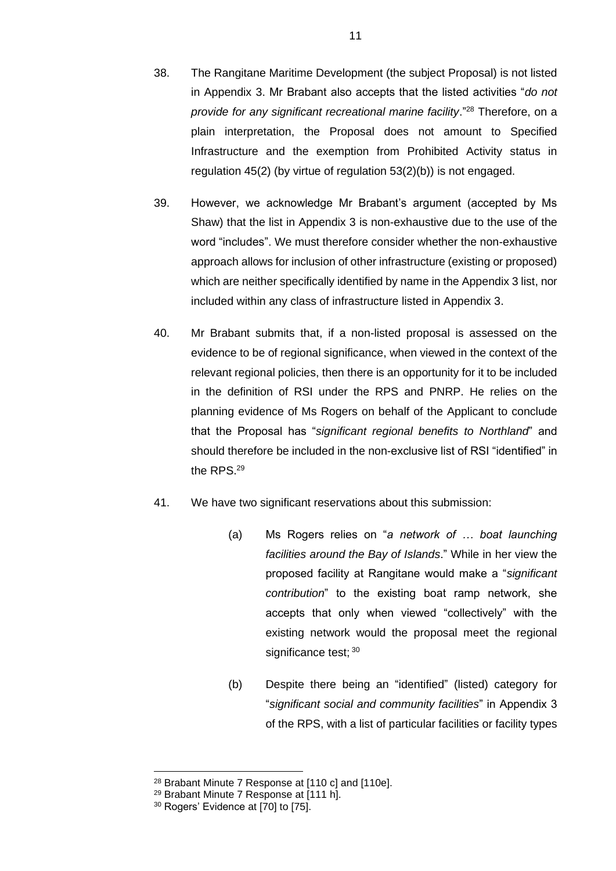- 38. The Rangitane Maritime Development (the subject Proposal) is not listed in Appendix 3. Mr Brabant also accepts that the listed activities "*do not provide for any significant recreational marine facility*."<sup>28</sup> Therefore, on a plain interpretation, the Proposal does not amount to Specified Infrastructure and the exemption from Prohibited Activity status in regulation 45(2) (by virtue of regulation 53(2)(b)) is not engaged.
- 39. However, we acknowledge Mr Brabant's argument (accepted by Ms Shaw) that the list in Appendix 3 is non-exhaustive due to the use of the word "includes". We must therefore consider whether the non-exhaustive approach allows for inclusion of other infrastructure (existing or proposed) which are neither specifically identified by name in the Appendix 3 list, nor included within any class of infrastructure listed in Appendix 3.
- 40. Mr Brabant submits that, if a non-listed proposal is assessed on the evidence to be of regional significance, when viewed in the context of the relevant regional policies, then there is an opportunity for it to be included in the definition of RSI under the RPS and PNRP. He relies on the planning evidence of Ms Rogers on behalf of the Applicant to conclude that the Proposal has "*significant regional benefits to Northland*" and should therefore be included in the non-exclusive list of RSI "identified" in the RPS. $^{29}$
- 41. We have two significant reservations about this submission:
	- (a) Ms Rogers relies on "*a network of … boat launching facilities around the Bay of Islands*." While in her view the proposed facility at Rangitane would make a "*significant contribution*" to the existing boat ramp network, she accepts that only when viewed "collectively" with the existing network would the proposal meet the regional significance test; 30
	- (b) Despite there being an "identified" (listed) category for "*significant social and community facilities*" in Appendix 3 of the RPS, with a list of particular facilities or facility types

<sup>28</sup> Brabant Minute 7 Response at [110 c] and [110e].

<sup>29</sup> Brabant Minute 7 Response at [111 h].

<sup>&</sup>lt;sup>30</sup> Rogers' Evidence at [70] to [75].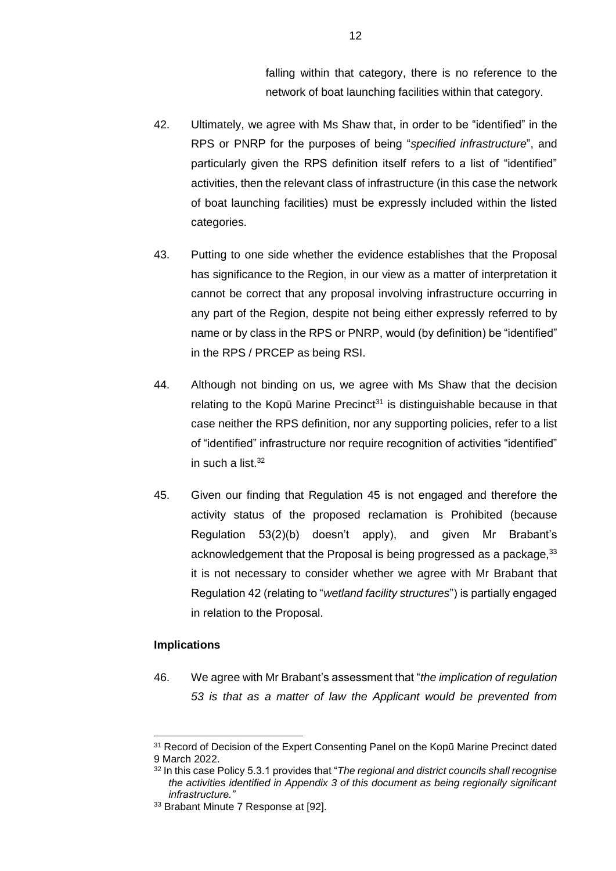falling within that category, there is no reference to the network of boat launching facilities within that category.

- 42. Ultimately, we agree with Ms Shaw that, in order to be "identified" in the RPS or PNRP for the purposes of being "*specified infrastructure*", and particularly given the RPS definition itself refers to a list of "identified" activities, then the relevant class of infrastructure (in this case the network of boat launching facilities) must be expressly included within the listed categories.
- 43. Putting to one side whether the evidence establishes that the Proposal has significance to the Region, in our view as a matter of interpretation it cannot be correct that any proposal involving infrastructure occurring in any part of the Region, despite not being either expressly referred to by name or by class in the RPS or PNRP, would (by definition) be "identified" in the RPS / PRCEP as being RSI.
- 44. Although not binding on us, we agree with Ms Shaw that the decision relating to the Kopū Marine Precinct<sup>31</sup> is distinguishable because in that case neither the RPS definition, nor any supporting policies, refer to a list of "identified" infrastructure nor require recognition of activities "identified" in such a list. $32$
- 45. Given our finding that Regulation 45 is not engaged and therefore the activity status of the proposed reclamation is Prohibited (because Regulation 53(2)(b) doesn't apply), and given Mr Brabant's acknowledgement that the Proposal is being progressed as a package,  $33$ it is not necessary to consider whether we agree with Mr Brabant that Regulation 42 (relating to "*wetland facility structures*") is partially engaged in relation to the Proposal.

#### **Implications**

46. We agree with Mr Brabant's assessment that "*the implication of regulation 53 is that as a matter of law the Applicant would be prevented from* 

<sup>31</sup> Record of Decision of the Expert Consenting Panel on the Kopū Marine Precinct dated 9 March 2022.

<sup>32</sup> In this case Policy 5.3.1 provides that "*The regional and district councils shall recognise the activities identified in Appendix 3 of this document as being regionally significant infrastructure."*

<sup>33</sup> Brabant Minute 7 Response at [92].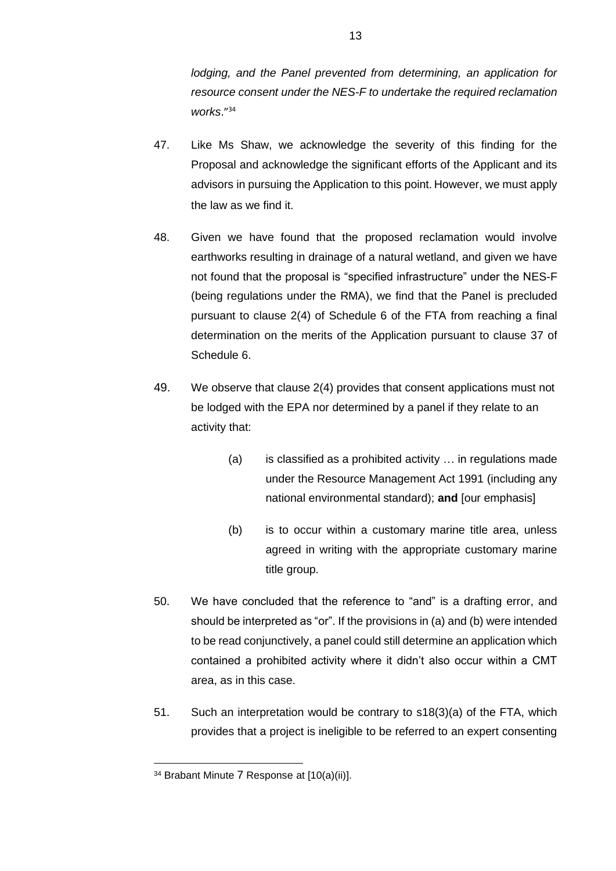*lodging, and the Panel prevented from determining, an application for resource consent under the NES-F to undertake the required reclamation works*." 34

- 47. Like Ms Shaw, we acknowledge the severity of this finding for the Proposal and acknowledge the significant efforts of the Applicant and its advisors in pursuing the Application to this point. However, we must apply the law as we find it.
- 48. Given we have found that the proposed reclamation would involve earthworks resulting in drainage of a natural wetland, and given we have not found that the proposal is "specified infrastructure" under the NES-F (being regulations under the RMA), we find that the Panel is precluded pursuant to clause 2(4) of Schedule 6 of the FTA from reaching a final determination on the merits of the Application pursuant to clause 37 of Schedule 6.
- 49. We observe that clause 2(4) provides that consent applications must not be lodged with the EPA nor determined by a panel if they relate to an activity that:
	- (a) is classified as a prohibited activity … in regulations made under the Resource Management Act 1991 (including any national environmental standard); **and** [our emphasis]
	- (b) is to occur within a customary marine title area, unless agreed in writing with the appropriate customary marine title group.
- 50. We have concluded that the reference to "and" is a drafting error, and should be interpreted as "or". If the provisions in (a) and (b) were intended to be read conjunctively, a panel could still determine an application which contained a prohibited activity where it didn't also occur within a CMT area, as in this case.
- 51. Such an interpretation would be contrary to s18(3)(a) of the FTA, which provides that a project is ineligible to be referred to an expert consenting

<sup>34</sup> Brabant Minute 7 Response at [10(a)(ii)].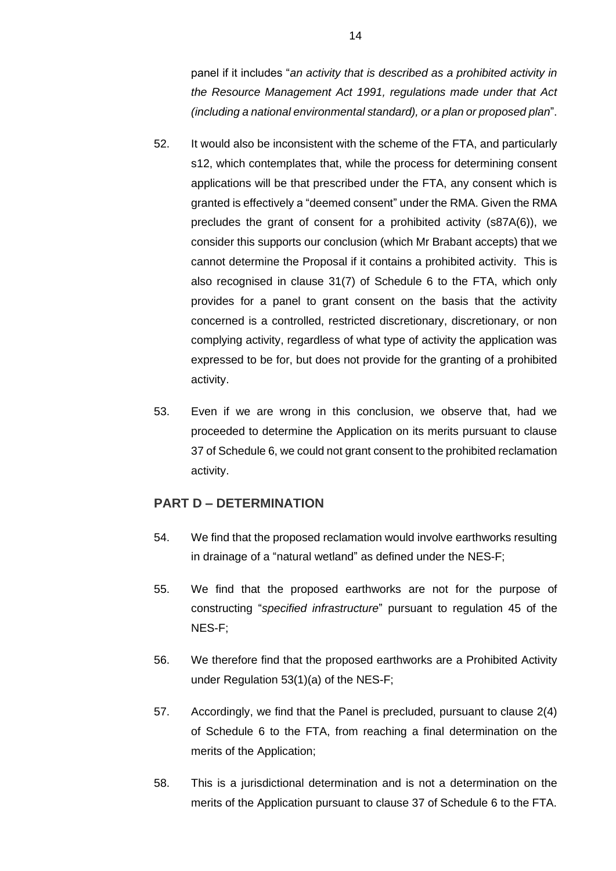panel if it includes "*an activity that is described as a prohibited activity in the Resource Management Act 1991, regulations made under that Act (including a national environmental standard), or a plan or proposed plan*".

- 52. It would also be inconsistent with the scheme of the FTA, and particularly s12, which contemplates that, while the process for determining consent applications will be that prescribed under the FTA, any consent which is granted is effectively a "deemed consent" under the RMA. Given the RMA precludes the grant of consent for a prohibited activity (s87A(6)), we consider this supports our conclusion (which Mr Brabant accepts) that we cannot determine the Proposal if it contains a prohibited activity. This is also recognised in clause 31(7) of Schedule 6 to the FTA, which only provides for a panel to grant consent on the basis that the activity concerned is a controlled, restricted discretionary, discretionary, or non complying activity, regardless of what type of activity the application was expressed to be for, but does not provide for the granting of a prohibited activity.
- 53. Even if we are wrong in this conclusion, we observe that, had we proceeded to determine the Application on its merits pursuant to clause 37 of Schedule 6, we could not grant consent to the prohibited reclamation activity.

# **PART D – DETERMINATION**

- 54. We find that the proposed reclamation would involve earthworks resulting in drainage of a "natural wetland" as defined under the NES-F;
- 55. We find that the proposed earthworks are not for the purpose of constructing "*specified infrastructure*" pursuant to regulation 45 of the NES-F;
- 56. We therefore find that the proposed earthworks are a Prohibited Activity under Regulation 53(1)(a) of the NES-F;
- 57. Accordingly, we find that the Panel is precluded, pursuant to clause 2(4) of Schedule 6 to the FTA, from reaching a final determination on the merits of the Application;
- 58. This is a jurisdictional determination and is not a determination on the merits of the Application pursuant to clause 37 of Schedule 6 to the FTA.